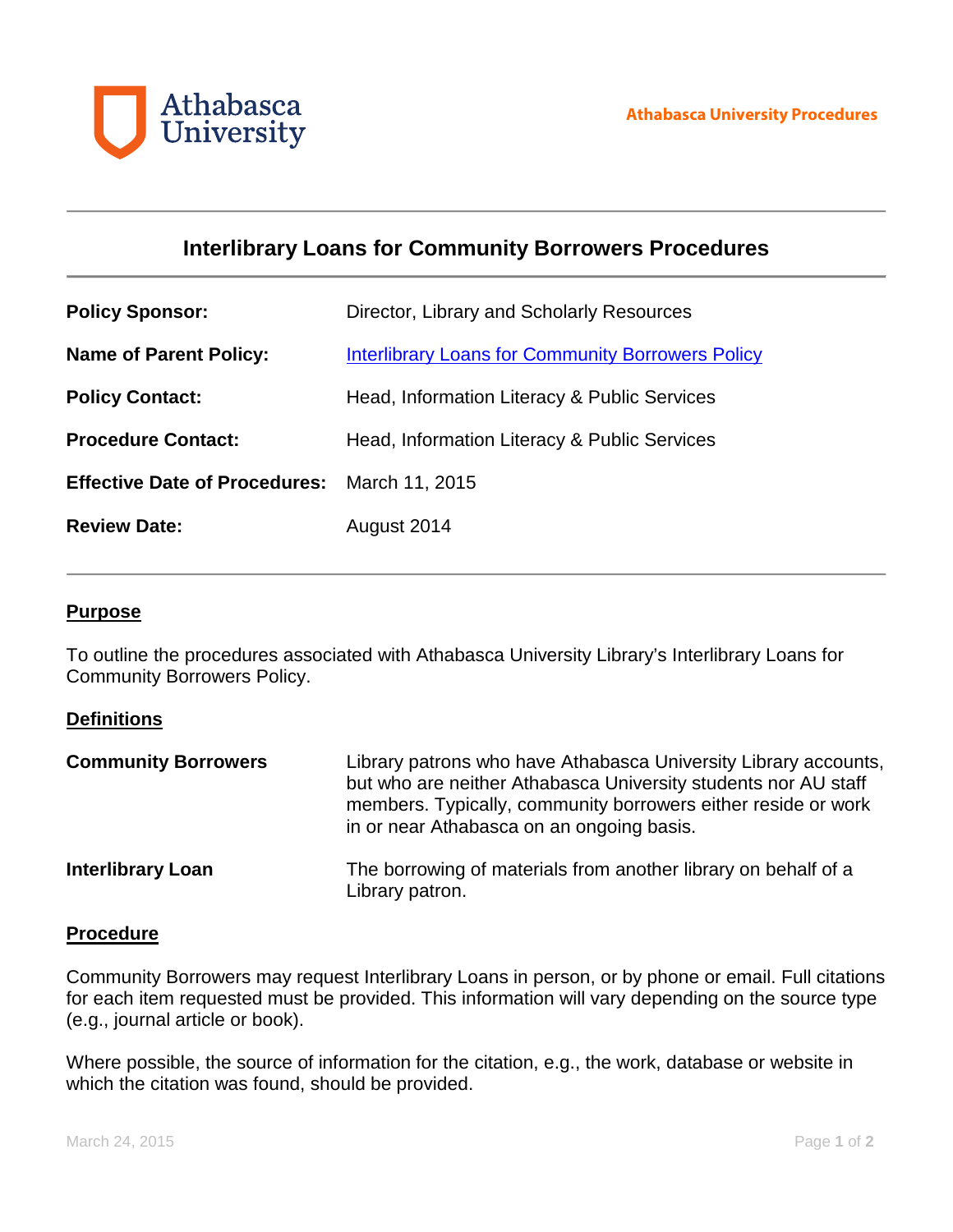

# **Interlibrary Loans for Community Borrowers Procedures**

| <b>Policy Sponsor:</b>                              | Director, Library and Scholarly Resources                |
|-----------------------------------------------------|----------------------------------------------------------|
| <b>Name of Parent Policy:</b>                       | <b>Interlibrary Loans for Community Borrowers Policy</b> |
| <b>Policy Contact:</b>                              | Head, Information Literacy & Public Services             |
| <b>Procedure Contact:</b>                           | Head, Information Literacy & Public Services             |
| <b>Effective Date of Procedures:</b> March 11, 2015 |                                                          |
| <b>Review Date:</b>                                 | August 2014                                              |

#### **Purpose**

To outline the procedures associated with Athabasca University Library's Interlibrary Loans for Community Borrowers Policy.

### **Definitions**

| <b>Community Borrowers</b> | Library patrons who have Athabasca University Library accounts,<br>but who are neither Athabasca University students nor AU staff<br>members. Typically, community borrowers either reside or work<br>in or near Athabasca on an ongoing basis. |
|----------------------------|-------------------------------------------------------------------------------------------------------------------------------------------------------------------------------------------------------------------------------------------------|
| <b>Interlibrary Loan</b>   | The borrowing of materials from another library on behalf of a<br>Library patron.                                                                                                                                                               |

### **Procedure**

Community Borrowers may request Interlibrary Loans in person, or by phone or email. Full citations for each item requested must be provided. This information will vary depending on the source type (e.g., journal article or book).

Where possible, the source of information for the citation, e.g., the work, database or website in which the citation was found, should be provided.